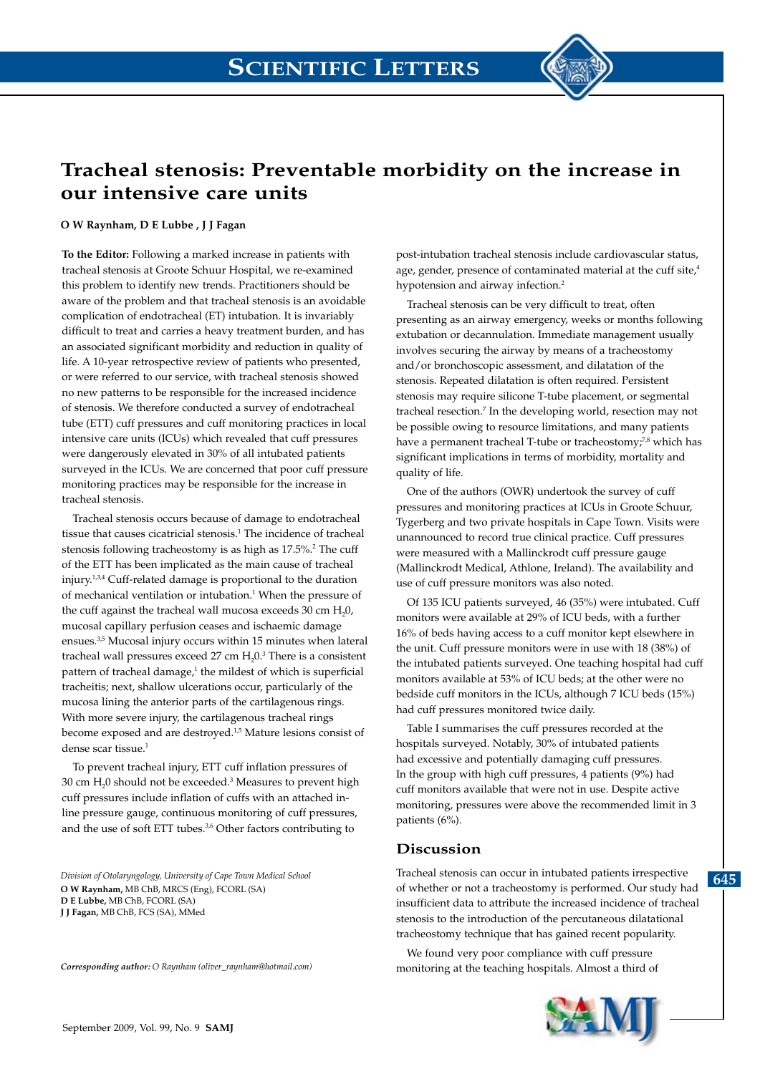

# **Tracheal stenosis: Preventable morbidity on the increase in our intensive care units**

### **O W Raynham, D E Lubbe , J J Fagan**

**To the Editor:** Following a marked increase in patients with tracheal stenosis at Groote Schuur Hospital, we re-examined this problem to identify new trends. Practitioners should be aware of the problem and that tracheal stenosis is an avoidable complication of endotracheal (ET) intubation. It is invariably difficult to treat and carries a heavy treatment burden, and has an associated significant morbidity and reduction in quality of life. A 10-year retrospective review of patients who presented, or were referred to our service, with tracheal stenosis showed no new patterns to be responsible for the increased incidence of stenosis. We therefore conducted a survey of endotracheal tube (ETT) cuff pressures and cuff monitoring practices in local intensive care units (ICUs) which revealed that cuff pressures were dangerously elevated in 30% of all intubated patients surveyed in the ICUs. We are concerned that poor cuff pressure monitoring practices may be responsible for the increase in tracheal stenosis.

Tracheal stenosis occurs because of damage to endotracheal tissue that causes cicatricial stenosis.<sup>1</sup> The incidence of tracheal stenosis following tracheostomy is as high as 17.5%.<sup>2</sup> The cuff of the ETT has been implicated as the main cause of tracheal injury.1,3,4 Cuff-related damage is proportional to the duration of mechanical ventilation or intubation.<sup>1</sup> When the pressure of the cuff against the tracheal wall mucosa exceeds  $30 \text{ cm H}_20$ , mucosal capillary perfusion ceases and ischaemic damage ensues.3,5 Mucosal injury occurs within 15 minutes when lateral tracheal wall pressures exceed  $27 \text{ cm } H_2^0$ . There is a consistent pattern of tracheal damage,<sup>1</sup> the mildest of which is superficial tracheitis; next, shallow ulcerations occur, particularly of the mucosa lining the anterior parts of the cartilagenous rings. With more severe injury, the cartilagenous tracheal rings become exposed and are destroyed.1,5 Mature lesions consist of dense scar tissue.1

To prevent tracheal injury, ETT cuff inflation pressures of 30 cm  $H_2$ 0 should not be exceeded.<sup>3</sup> Measures to prevent high cuff pressures include inflation of cuffs with an attached inline pressure gauge, continuous monitoring of cuff pressures, and the use of soft ETT tubes.<sup>3,6</sup> Other factors contributing to

*Division of Otolaryngology, University of Cape Town Medical School* **O W Raynham,** MB ChB, MRCS (Eng), FCORL (SA) **D E Lubbe,** MB ChB, FCORL (SA) **J J Fagan,** MB ChB, FCS (SA), MMed

*Corresponding author: O Raynham (oliver\_raynham@hotmail.com)*

post-intubation tracheal stenosis include cardiovascular status, age, gender, presence of contaminated material at the cuff site,<sup>4</sup> hypotension and airway infection.<sup>2</sup>

Tracheal stenosis can be very difficult to treat, often presenting as an airway emergency, weeks or months following extubation or decannulation. Immediate management usually involves securing the airway by means of a tracheostomy and/or bronchoscopic assessment, and dilatation of the stenosis. Repeated dilatation is often required. Persistent stenosis may require silicone T-tube placement, or segmental tracheal resection.<sup>7</sup> In the developing world, resection may not be possible owing to resource limitations, and many patients have a permanent tracheal T-tube or tracheostomy; $^{7,8}$  which has significant implications in terms of morbidity, mortality and quality of life.

One of the authors (OWR) undertook the survey of cuff pressures and monitoring practices at ICUs in Groote Schuur, Tygerberg and two private hospitals in Cape Town. Visits were unannounced to record true clinical practice. Cuff pressures were measured with a Mallinckrodt cuff pressure gauge (Mallinckrodt Medical, Athlone, Ireland). The availability and use of cuff pressure monitors was also noted.

Of 135 ICU patients surveyed, 46 (35%) were intubated. Cuff monitors were available at 29% of ICU beds, with a further 16% of beds having access to a cuff monitor kept elsewhere in the unit. Cuff pressure monitors were in use with 18 (38%) of the intubated patients surveyed. One teaching hospital had cuff monitors available at 53% of ICU beds; at the other were no bedside cuff monitors in the ICUs, although 7 ICU beds (15%) had cuff pressures monitored twice daily.

Table I summarises the cuff pressures recorded at the hospitals surveyed. Notably, 30% of intubated patients had excessive and potentially damaging cuff pressures. In the group with high cuff pressures, 4 patients (9%) had cuff monitors available that were not in use. Despite active monitoring, pressures were above the recommended limit in 3 patients (6%).

## **Discussion**

Tracheal stenosis can occur in intubated patients irrespective of whether or not a tracheostomy is performed. Our study had insufficient data to attribute the increased incidence of tracheal stenosis to the introduction of the percutaneous dilatational tracheostomy technique that has gained recent popularity.

We found very poor compliance with cuff pressure monitoring at the teaching hospitals. Almost a third of